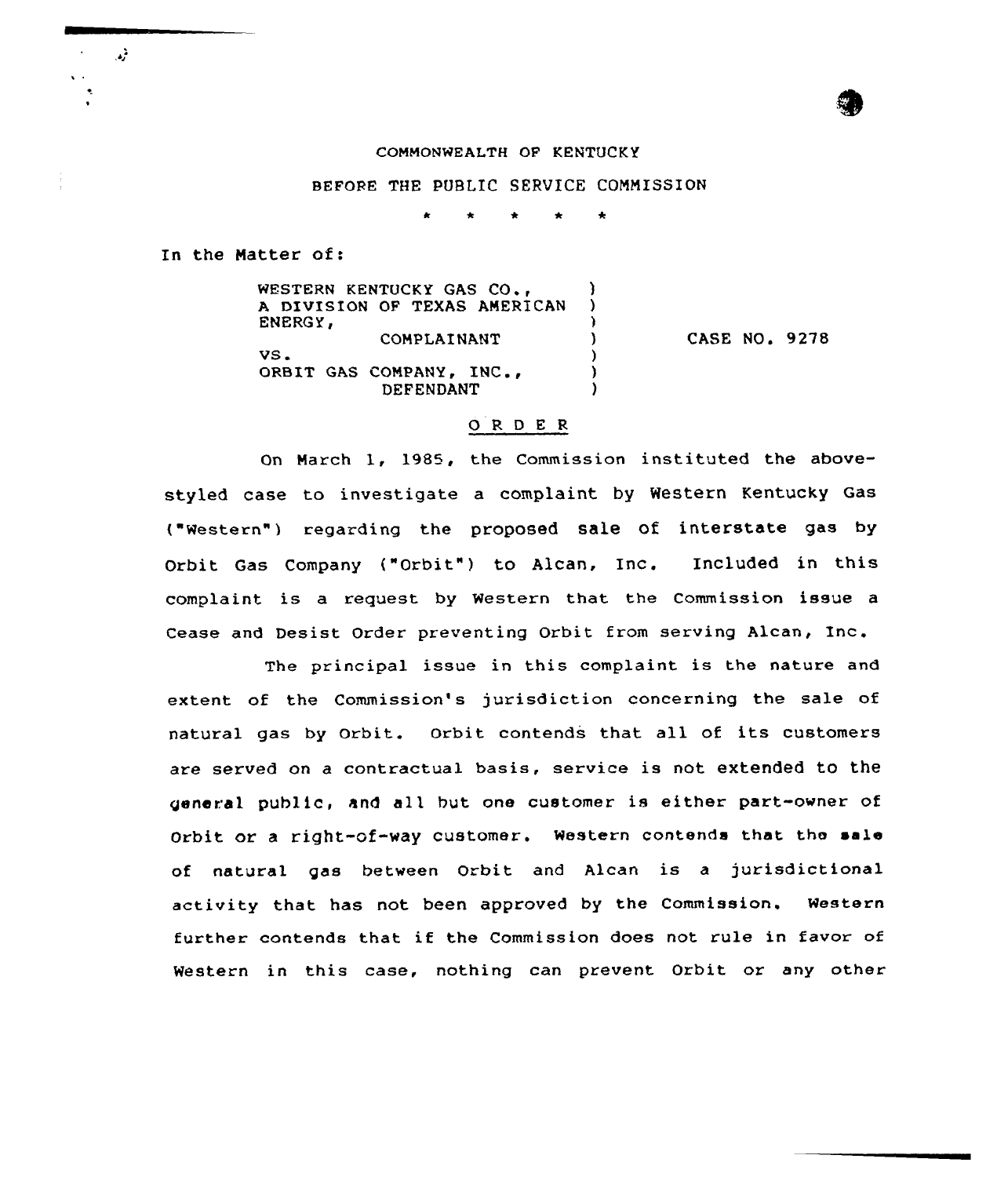## COMMONWEALTH OP KENTUCKY

### BEFORE THE PUBLIC SERVICE COMMISSION

In the Matter of:

 $\mathcal{L}^2$ 

WESTERN KENTUCKY GAS CO., (1998)<br>A DIVISION OF TEXAS AMERICAN A DIVISION OF TEXAS AMERICAN ENERGY, COMPLAINANT )  $VS$  .  $( )$ ORBIT GAS COMPANY, INC., (1) **DEFENDANT** CASE NO. 9278

# 0 <sup>R</sup> <sup>D</sup> <sup>E</sup> <sup>R</sup>

On March 1, 1985, the Commission instituted the abovestyled case to investigate a complaint by Western Kentucky Gas ("Western" ) regarding the proposed sale Of interstate gas by Orbit Gas Company {"Orbit") to Alcan, Inc. Included in this complaint is a request by Western that the Commission issue a Cease and Desist Order preventing Orbit from serving Alcan, Inc.

The principal issue in this complaint is the nature and extent of the Commission's jurisdiction concerning the sale of natural gas by Orbit. orbit contends that all of its customers are served on a contractual basis, service is not extended to the general public, and all but one customer is either part-owner of Orbit or <sup>a</sup> right-of-way customer. Western contends that the sale of natural gas between Orbit and Alcan is <sup>a</sup> jurisdictional activity that has not been approved by the Commission. Western further contends that if the Commission does not rule in favor of Western in this case, nothing can prevent Orbit or any other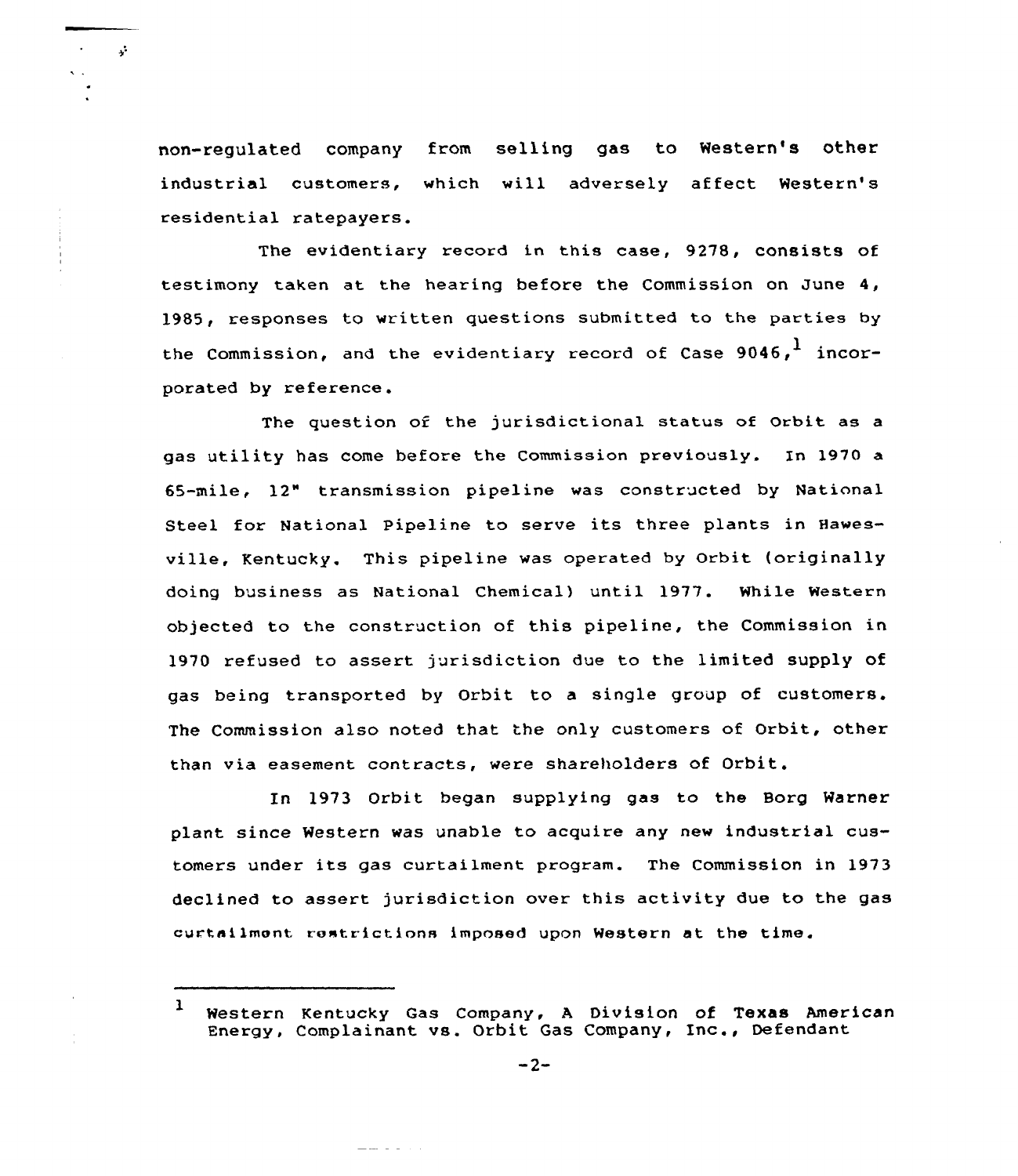non-regulated company from selling gas to Western's other industrial customers, which will adversely affect Westexn's residential ratepayers.

 $\mathbf{r}^{\prime}$ 

The evidentiary record in this case, 9278, consists of testimony taken at the hearing before the Commission on June 4, 1985, responses to written questions submitted to the parties by the Commission, and the evidentiary record of Case  $9046.$ <sup>1</sup> incorporated by reference.

The question of the jurisdictional status of Orbit as a gas utility has come before the Commission previously. In 1970 a 65-mile, 12" transmission pipeline was constructed by Natinnal Steel for National Pipeline to serve its three plants in Hawesville, Kentucky. This pipeline was operated by Orbit (originally doing business as National Chemical) until 1977. While Western objected to the construction of this pipeline, the Commission in 1970 refused to assert jurisdiction due to the limited supply of gas being transported by Orbit to a single group of customers. The Commission also noted that the only customers of Orbit, othex than via easement contracts, were shareholders of Orbit.

In 1973 Orbit began supplying gas to the Borg Warner plant since Western was unable to acquire any new industrial customers under its gas curtailment program. The Commission in 1973 declined to assert jurisdiction over this activity due to the gas curtailmont rostrictions imposed upon Western at the time.

<u>alaman a</u>

<sup>1</sup> Western Kentucky Gas Company, <sup>A</sup> Division of Texas American Energy, Complainant vs. Orbit Gas Company, Inc., Defendant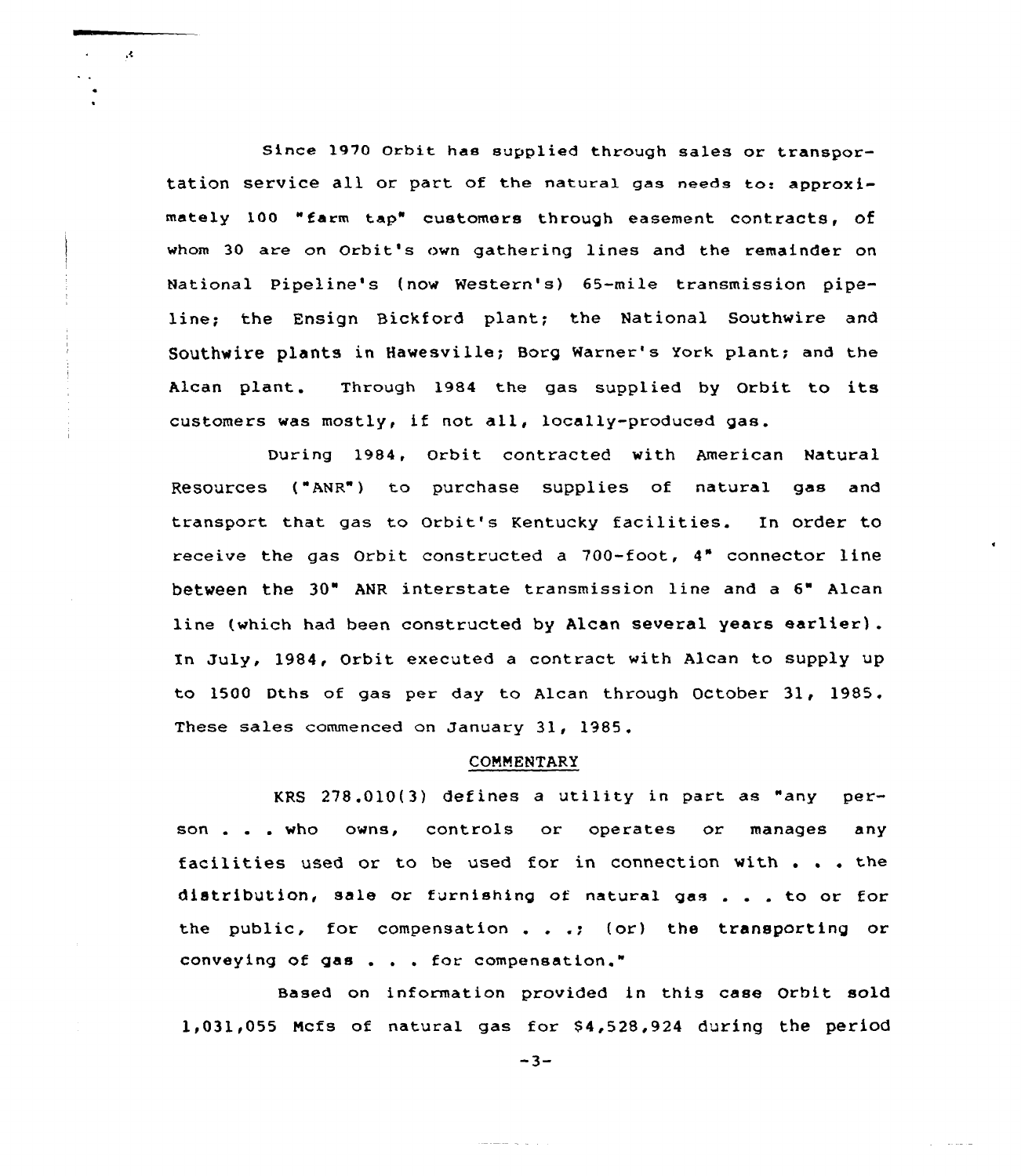Since 1970 Orbit has supplied through sales or transportation service all or part of the natural gas needs to: approximately 100 "farm tap" customers through easement contracts, of whom 30 are on Orbit's own gathering lines and the remainder on National Pipe1ine's (now Western's) 65-mile transmission pipeline; the Ensign Bickford plant; the National Southwire and Southwire plants in Hawesville; Borg warner's York plant; and the Alcan plant. Through 1984 the gas supplied by Orbit to its customers was mostly, if not all, locally-produced gas.

 $\mathcal{R}$ 

During 1984, Orbit contracted with American Natural Resources ("ANR") to purchase supplies of natural gas and transport that gas to Orbit's Kentucky facilities. In order to receive the gas Orbit constructed a 700-foot, 4" connector line between the 30" ANR interstate transmission line and <sup>a</sup> 6" Alcan line (which had been constructed by Alcan several years earlier) . Xn July, 1984, Orbit executed a contract with Alcan to supply up to 1500 Dths of gas per day to Alcan through October 31, 1985. These sales commenced on January 31, 1985.

#### COMMENTARY

KRS 278.010{3) defines <sup>a</sup> utility in part as "any person . . . who owns, controls or operates or manages any facilities used or to be used for in connection with . . . the distribution, sale or furnishing of natural gas  $\ldots$  to or for the public, for compensation . . .; {or) the transporting or conveying of gas . . . for compensation."

Based on information provided in this case Orbit sold 1,031,055 Mcfs of natural gas for \$ 4,528,924 during the period

 $-3-$ 

and the second

الموالي المتعاقبات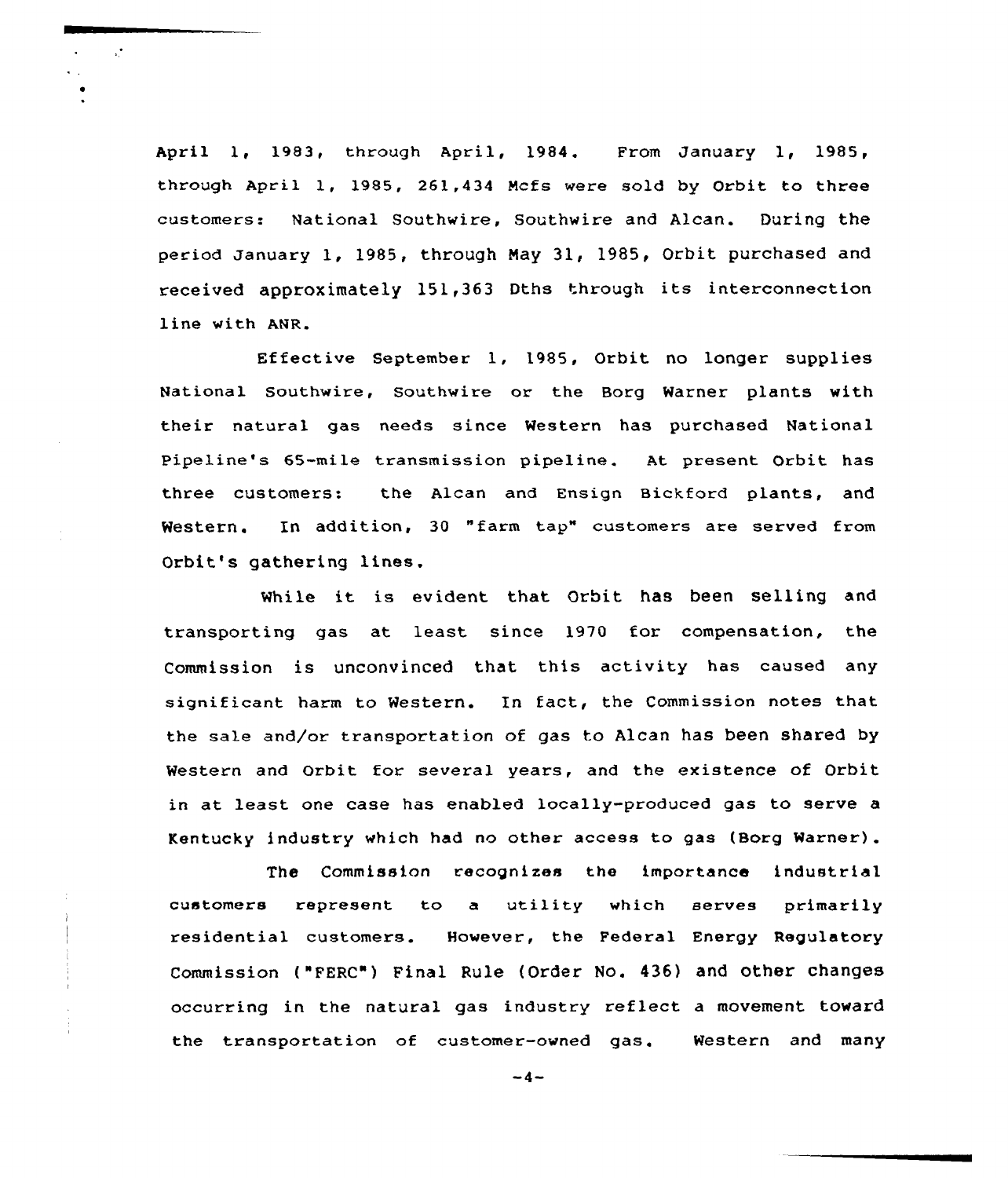April 1, 1983, through April, 1984. From January 1, 1985, through April 1, 1985, 261,434 Ncfs were sold by Orbit to three customers.» National Southwire, Southwire and Alcan. During the period January 1, 1985, through May 31, 1985, Orbit purchased and received approximately 151,363 Dths through its interconnection line with ANR

 $\mathbf{r}$ 

Effective September 1, 1985, Orbit no longer supplies National Southwire, Southwire or the Borg Warner plants with their natural gas needs since Western has purchased National Pipeline's 65-mile transmission pipeline. At present Orbit has three customers: the Alcan and Ensign Bickford plants, and Western. In addition, 30 "farm tap" customers are served from Orbit's gathering lines.

While it is evident that Orbit has been selling and transporting gas at least since 1970 for compensation, the Commission is unconvinced that this activity has caused any significant harm to Western. In fact, the Commission notes that the sale and/or transportation of gas to Alcan has been shared by Western and Orbit for several years, and the existence of Orbit in at least one case has enabled locally-produced gas to serve a Kentucky industry which had no other access to gas (Borg Warner).

The Commission recognizes the importance industrial customers represent to <sup>a</sup> utility which serves primarily residential customers. However, the Federal Energy Regulatory Commission ("FERC") Final Rule {Order No. 436) and other changes occurring in the natural gas industry reflect a movement toward the transportation of customer-owned gas. Western and many

 $-4-$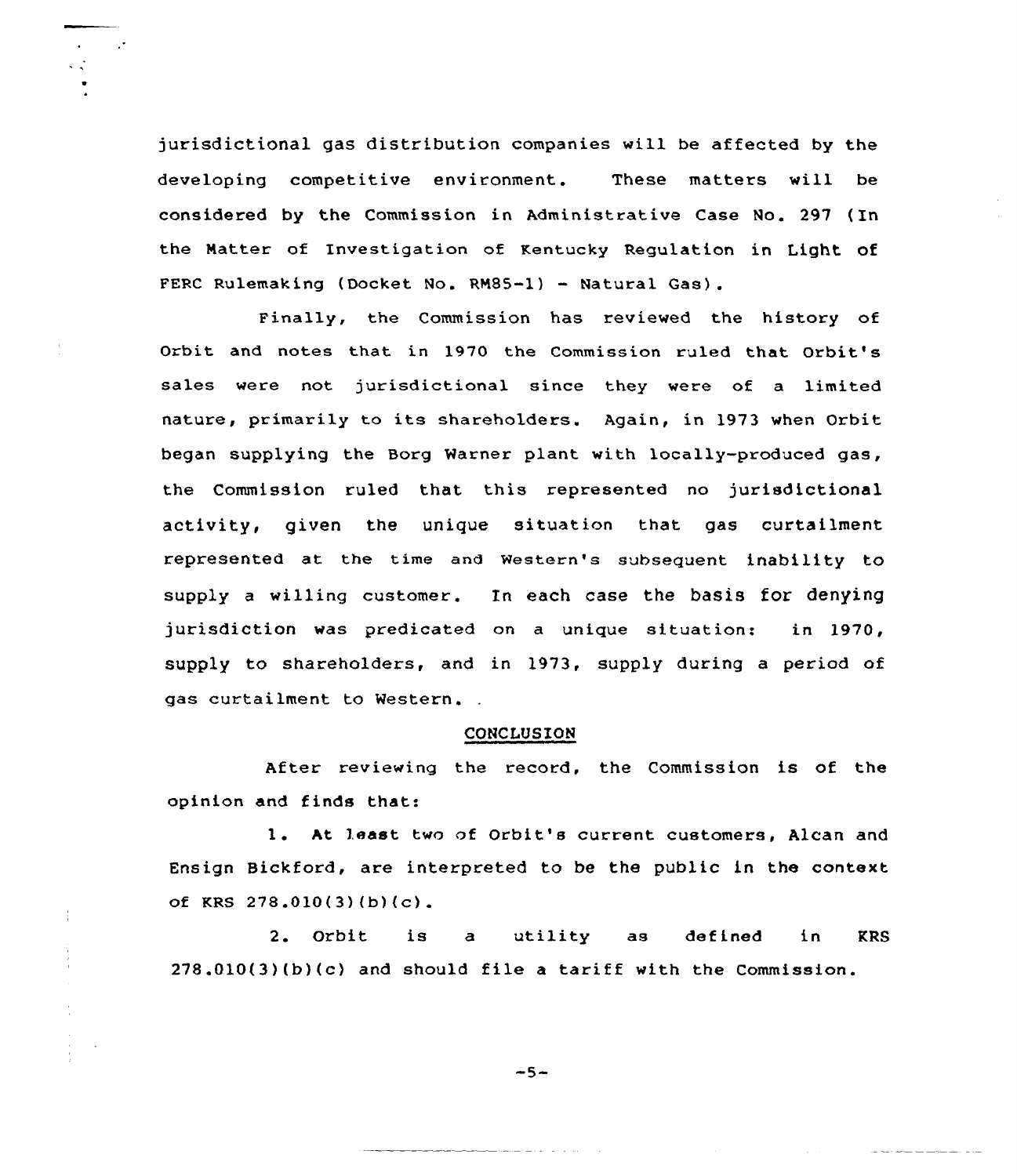jurisdictional gas distribution companies will be affected by the developing competitive environment. These matters will be considered by the Commission in Administrative Case No. 297 (In the Matter of Investigation of Kentucky Regulation in Light of FERC Rulemaking (Docket No. RM85-1) - Natural Gas).

 $\ddot{\phantom{0}}$ 

 $\mathcal{L}$ 

Finally, the Commission has reviewed the history of Orbit and notes that in 1970 the Commission ruled that Orbit's sales were not jurisdictional since they were of a limited nature, primarily to its shareholders. Again, in 1973 when Orbit began supplying the Boxg Warner plant with locally-produced gas, the Commission ruled that this represented no jurisdictional activity, given the unique situation that gas curtailment xepxesented at the time and Western's subsequent inability to supply a willing customer. In each case the basis for denying jurisdiction was predicated on a unigue situation: in 1970, supply to shareholders, and in 1973, supply during a period of gas curtailment to Western.

## CONCLUSION

After reviewing the record, the Commission is of the opinion and finds that:

1. At least two of Orbit's current customers, Alcan and Ensign Bickford, are interpreted to be the public in the context of KRS 278.010(3)(b)(c).

2. Orbit is a utility as defined in KRS 278.010(3)(b)(c) and should file <sup>a</sup> tariff with the Commission.

 $-5-$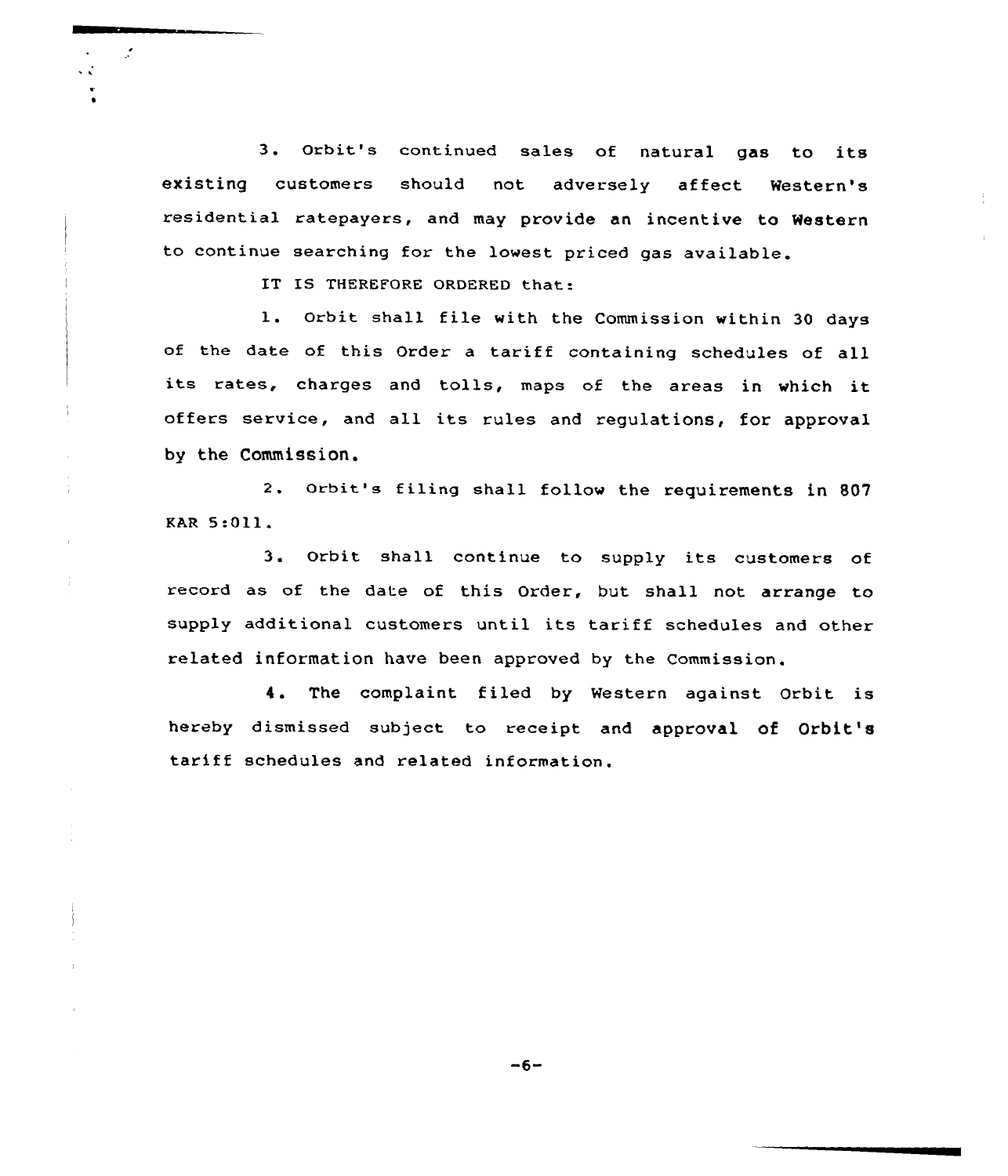3. Orbit's continued sales of natural gas to its existing customers should not adversely affect Western's residential ratepayers, and may provide an incentive to Western to continue searching for the lowest priced gas available.

IT IS THEREFORE ORDERED that:

 $\mathcal{L}$ 

÷,

l. Orbit shall file with the Commission within <sup>30</sup> days of the date of this Order <sup>a</sup> tariff containing schedules of all its rates, charges and tolls, maps of the areas in which it offers service, and all its rules and regulations, for approval by the Commission.

2. Orbit's filing shall follow the requirements in 807 EAR 5:Oll.

3. Orbit shall continue to supply its customers of record as of the date of this Order, but shall not arrange to supply additional customers until its tariff schedules and other related information have been approved by the Commission.

4. The complaint filed by Western against Orbit is hereby dismissed subject to receipt and approval of Orbit's tariff schedules and related information.

 $-6-$